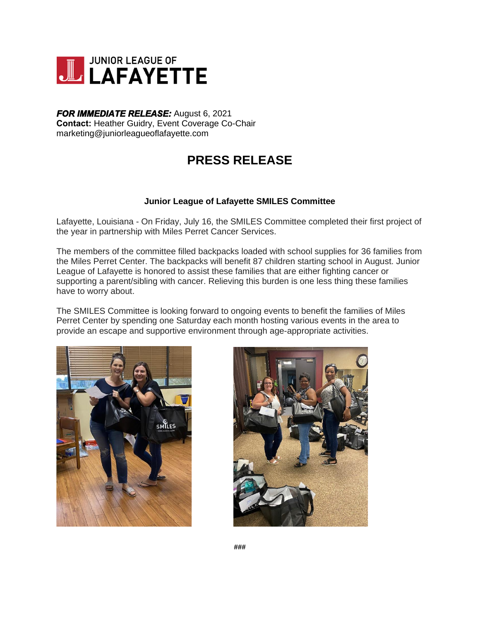

## *FOR IMMEDIATE RELEASE:* August 6, 2021

**Contact:** Heather Guidry, Event Coverage Co-Chair marketing@juniorleagueoflafayette.com

## **PRESS RELEASE**

## **Junior League of Lafayette SMILES Committee**

Lafayette, Louisiana - On Friday, July 16, the SMILES Committee completed their first project of the year in partnership with Miles Perret Cancer Services.

The members of the committee filled backpacks loaded with school supplies for 36 families from the Miles Perret Center. The backpacks will benefit 87 children starting school in August. Junior League of Lafayette is honored to assist these families that are either fighting cancer or supporting a parent/sibling with cancer. Relieving this burden is one less thing these families have to worry about.

The SMILES Committee is looking forward to ongoing events to benefit the families of Miles Perret Center by spending one Saturday each month hosting various events in the area to provide an escape and supportive environment through age-appropriate activities.